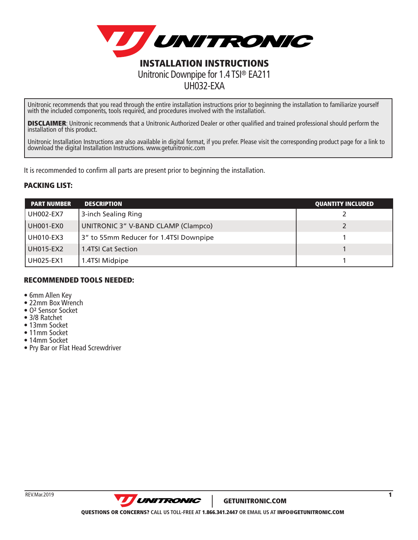

Unitronic recommends that you read through the entire installation instructions prior to beginning the installation to familiarize yourself with the included components, tools required, and procedures involved with the installation.

UH032-EXA

**DISCLAIMER**: Unitronic recommends that a Unitronic Authorized Dealer or other qualified and trained professional should perform the<br>installation of this product.

Unitronic Installation Instructions are also available in digital format, if you prefer. Please visit the corresponding product page for a link to download the digital Installation Instructions. www.getunitronic.com

It is recommended to confirm all parts are present prior to beginning the installation.

## PACKING LIST:

| <b>PART NUMBER</b> | <b>DESCRIPTION</b>                     | <b>QUANTITY INCLUDED</b> |
|--------------------|----------------------------------------|--------------------------|
| <b>UH002-EX7</b>   | 3-inch Sealing Ring                    |                          |
| UH001-EX0          | UNITRONIC 3" V-BAND CLAMP (Clampco)    |                          |
| UH010-EX3          | 3" to 55mm Reducer for 1.4TSI Downpipe |                          |
| UH015-EX2          | 1.4TSI Cat Section                     |                          |
| UH025-EX1          | 1.4TSI Midpipe                         |                          |

## RECOMMENDED TOOLS NEEDED:

- 6mm Allen Key
- 22mm Box Wrench
- O**2** Sensor Socket
- 3/8 Ratchet
- 13mm Socket
- 11mm Socket
- 14mm Socket
- Pry Bar or Flat Head Screwdriver

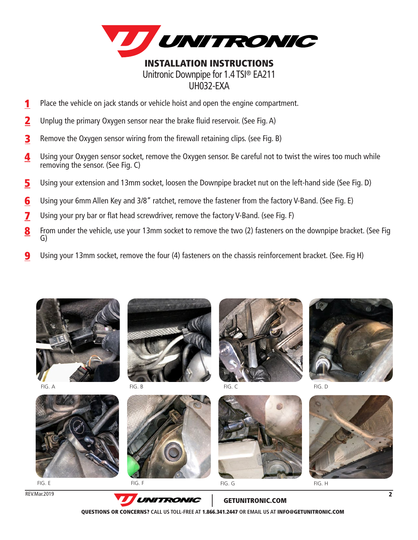

Place the vehicle on jack stands or vehicle hoist and open the engine compartment. 1

- Unplug the primary Oxygen sensor near the brake fluid reservoir. (See Fig. A) 2
- Remove the Oxygen sensor wiring from the firewall retaining clips. (see Fig. B) 3
- Using your Oxygen sensor socket, remove the Oxygen sensor. Be careful not to twist the wires too much while removing the sensor. (See Fig. C) 4
- Using your extension and 13mm socket, loosen the Downpipe bracket nut on the left-hand side (See Fig. D) 5
- Using your 6mm Allen Key and 3/8" ratchet, remove the fastener from the factory V-Band. (See Fig. E) 6
- Using your pry bar or flat head screwdriver, remove the factory V-Band. (see Fig. F) 7
- From under the vehicle, use your 13mm socket to remove the two (2) fasteners on the downpipe bracket. (See Fig G) 8
- Using your 13mm socket, remove the four (4) fasteners on the chassis reinforcement bracket. (See. Fig H) 9





FIG. E

REV.Mar.2019



FIG. B FIG. C





FIG. G FIG. H

FIG. A FIG. D FIG. B FIG. D FIG. C FIG. D FIG. D FIG. D FIG. D



GETUNITRONIC.COM QUESTIONS OR CONCERNS? **CALL US TOLL-FREE AT** 1.866.341.2447 **OR EMAIL US AT** INFO@GETUNITRONIC.COM

 $\overline{2}$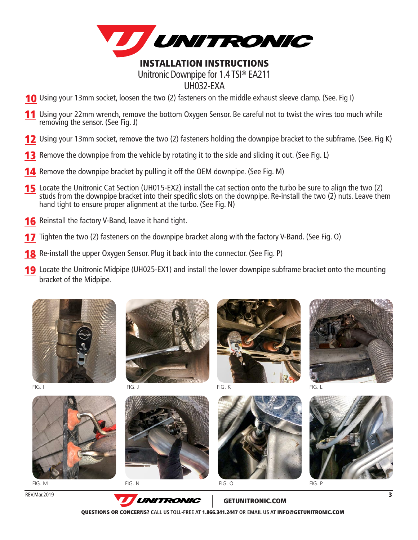

## INSTALLATION INSTRUCTIONS Unitronic Downpipe for 1.4 TSI® EA211 UH032-EXA

- **10** Using your 13mm socket, loosen the two (2) fasteners on the middle exhaust sleeve clamp. (See. Fig I)
- **11** Using your 22mm wrench, remove the bottom Oxygen Sensor. Be careful not to twist the wires too much while removing the sensor. (See Fig. J)
- 12 Using your 13mm socket, remove the two (2) fasteners holding the downpipe bracket to the subframe. (See. Fig K)
- **13** Remove the downpipe from the vehicle by rotating it to the side and sliding it out. (See Fig. L)
- **14** Remove the downpipe bracket by pulling it off the OEM downpipe. (See Fig. M)
- **15** Locate the Unitronic Cat Section (UH015-EX2) install the cat section onto the turbo be sure to align the two (2) studs from the downpipe bracket into their specific slots on the downpipe. Re-install the two (2) nuts. Leave them hand tight to ensure proper alignment at the turbo. (See Fig. N)
- **16** Reinstall the factory V-Band, leave it hand tight.
- **17** Tighten the two (2) fasteners on the downpipe bracket along with the factory V-Band. (See Fig. 0)
- **18** Re-install the upper Oxygen Sensor. Plug it back into the connector. (See Fig. P)
- **19** Locate the Unitronic Midpipe (UH025-EX1) and install the lower downpipe subframe bracket onto the mounting bracket of the Midpipe.







**UNITRONIC** 



FIG. K



FIG. L

REV.Mar.2019



GETUNITRONIC.COM

QUESTIONS OR CONCERNS? **CALL US TOLL-FREE AT** 1.866.341.2447 **OR EMAIL US AT** INFO@GETUNITRONIC.COM